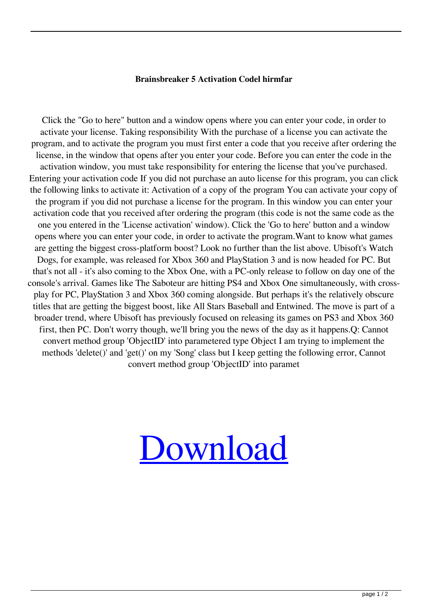## **Brainsbreaker 5 Activation Codel hirmfar**

Click the "Go to here" button and a window opens where you can enter your code, in order to activate your license. Taking responsibility With the purchase of a license you can activate the program, and to activate the program you must first enter a code that you receive after ordering the license, in the window that opens after you enter your code. Before you can enter the code in the activation window, you must take responsibility for entering the license that you've purchased. Entering your activation code If you did not purchase an auto license for this program, you can click the following links to activate it: Activation of a copy of the program You can activate your copy of the program if you did not purchase a license for the program. In this window you can enter your activation code that you received after ordering the program (this code is not the same code as the one you entered in the 'License activation' window). Click the 'Go to here' button and a window opens where you can enter your code, in order to activate the program.Want to know what games are getting the biggest cross-platform boost? Look no further than the list above. Ubisoft's Watch Dogs, for example, was released for Xbox 360 and PlayStation 3 and is now headed for PC. But that's not all - it's also coming to the Xbox One, with a PC-only release to follow on day one of the console's arrival. Games like The Saboteur are hitting PS4 and Xbox One simultaneously, with crossplay for PC, PlayStation 3 and Xbox 360 coming alongside. But perhaps it's the relatively obscure titles that are getting the biggest boost, like All Stars Baseball and Entwined. The move is part of a broader trend, where Ubisoft has previously focused on releasing its games on PS3 and Xbox 360 first, then PC. Don't worry though, we'll bring you the news of the day as it happens.Q: Cannot convert method group 'ObjectID' into parametered type Object I am trying to implement the methods 'delete()' and 'get()' on my 'Song' class but I keep getting the following error, Cannot convert method group 'ObjectID' into paramet

## [Download](http://evacdir.com/bults/minuses/QnJhaW5zYnJlYWtlciA1IEFjdGl2YXRpb24gQ29kZWwQnJ?prejudiced=roumania&uhhh=ZG93bmxvYWR8d0sxTW5KbU5YeDhNVFkxTWpRMk16QTFNSHg4TWpVM05IeDhLRTBwSUhKbFlXUXRZbXh2WnlCYlJtRnpkQ0JIUlU1ZA.angiotensin=ushered)